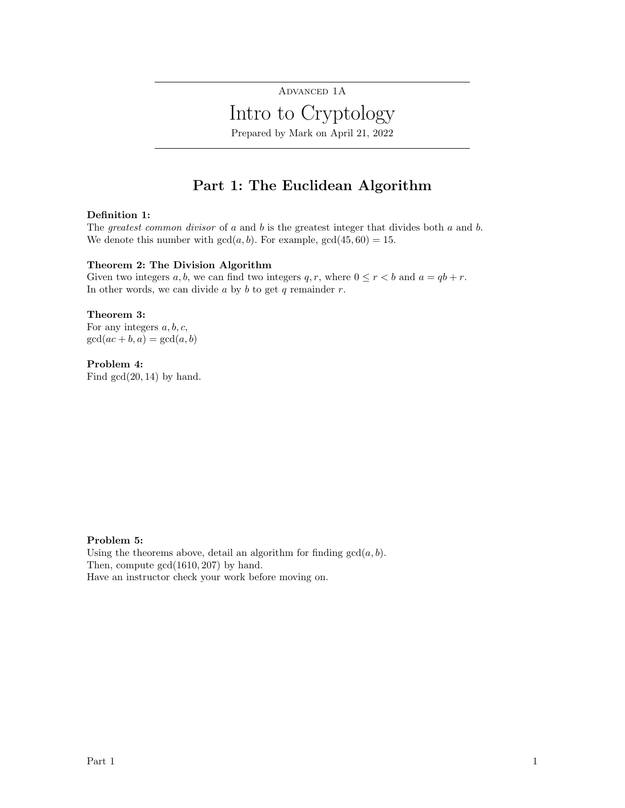# ADVANCED 1A Intro to Cryptology Prepared by Mark on April 21, 2022

## Part 1: The Euclidean Algorithm

## Definition 1:

The greatest common divisor of a and b is the greatest integer that divides both  $a$  and  $b$ . We denote this number with  $gcd(a, b)$ . For example,  $gcd(45, 60) = 15$ .

### Theorem 2: The Division Algorithm

Given two integers  $a, b$ , we can find two integers  $q, r$ , where  $0 \le r < b$  and  $a = qb + r$ . In other words, we can divide  $a$  by  $b$  to get  $q$  remainder  $r$ .

## Theorem 3:

For any integers  $a, b, c$ ,  $gcd(ac + b, a) = gcd(a, b)$ 

### Problem 4:

Find  $gcd(20, 14)$  by hand.

### Problem 5:

Using the theorems above, detail an algorithm for finding  $gcd(a, b)$ . Then, compute gcd(1610, 207) by hand. Have an instructor check your work before moving on.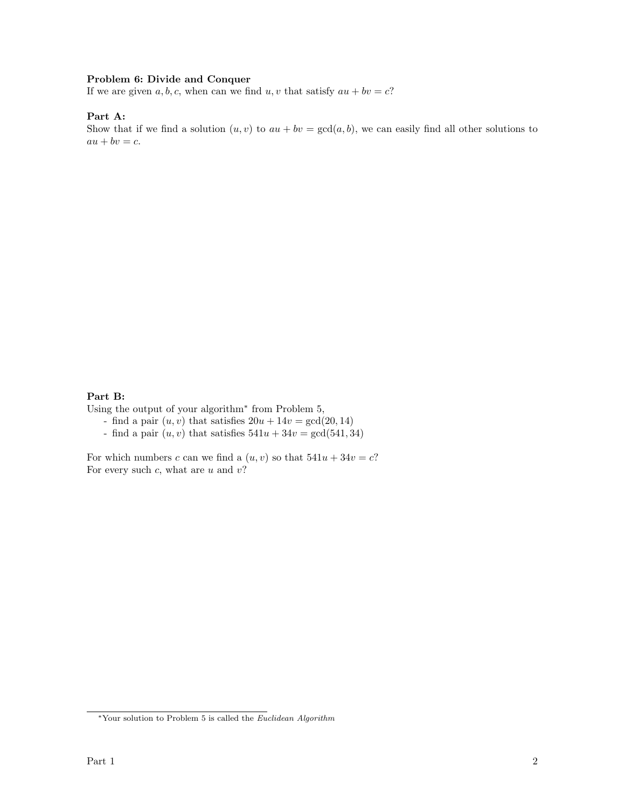### Problem 6: Divide and Conquer

If we are given  $a, b, c$ , when can we find  $u, v$  that satisfy  $au + bv = c$ ?

## Part A:

Show that if we find a solution  $(u, v)$  to  $au + bv = \gcd(a, b)$ , we can easily find all other solutions to  $au + bv = c.$ 

### Part B:

Using the output of your algorithm<sup>∗</sup> from Problem 5,

- find a pair  $(u, v)$  that satisfies  $20u + 14v = \gcd(20, 14)$
- find a pair  $(u, v)$  that satisfies  $541u + 34v = \gcd(541, 34)$

For which numbers c can we find a  $(u, v)$  so that  $541u + 34v = c$ ? For every such  $c$ , what are  $u$  and  $v$ ?

 $^\ast$  Your solution to Problem 5 is called the  $Euclidean\ Algorithm$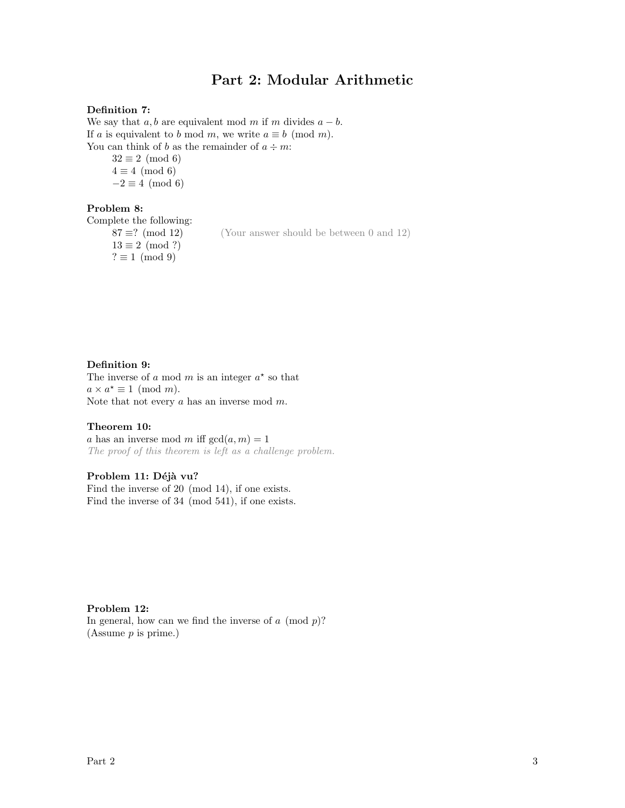## Part 2: Modular Arithmetic

### Definition 7:

We say that  $a, b$  are equivalent mod m if m divides  $a - b$ . If a is equivalent to b mod m, we write  $a \equiv b \pmod{m}$ . You can think of b as the remainder of  $a \div m$ :

 $32 \equiv 2 \pmod{6}$  $4 \equiv 4 \pmod{6}$  $-2 \equiv 4 \pmod{6}$ 

## Problem 8:

Complete the following:

 $87 \equiv ? \pmod{12}$  (Your answer should be between 0 and 12)  $13 \equiv 2 \pmod{?}$  $? \equiv 1 \pmod{9}$ 

### Definition 9:

The inverse of a mod m is an integer  $a^*$  so that  $a \times a^* \equiv 1 \pmod{m}$ . Note that not every a has an inverse mod m.

## Theorem 10:

a has an inverse mod m iff  $gcd(a, m) = 1$ The proof of this theorem is left as a challenge problem.

## Problem 11: Déjà vu?

Find the inverse of 20 (mod 14), if one exists. Find the inverse of 34 (mod 541), if one exists.

#### Problem 12:

In general, how can we find the inverse of  $a \pmod{p}$ ? (Assume p is prime.)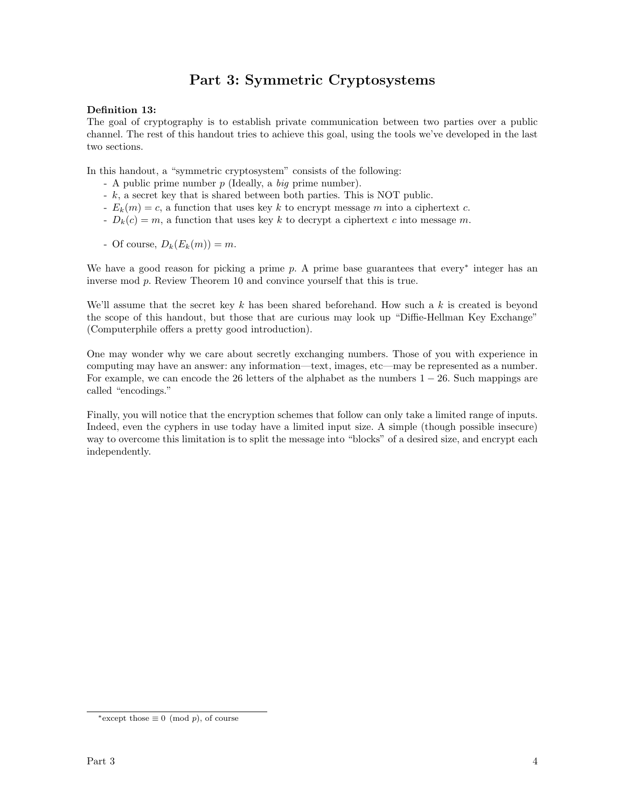# Part 3: Symmetric Cryptosystems

## Definition 13:

The goal of cryptography is to establish private communication between two parties over a public channel. The rest of this handout tries to achieve this goal, using the tools we've developed in the last two sections.

In this handout, a "symmetric cryptosystem" consists of the following:

- A public prime number p (Ideally, a big prime number).
- $-k$ , a secret key that is shared between both parties. This is NOT public.
- $E_k(m) = c$ , a function that uses key k to encrypt message m into a ciphertext c.
- $D_k(c) = m$ , a function that uses key k to decrypt a ciphertext c into message m.
- Of course,  $D_k(E_k(m)) = m$ .

We have a good reason for picking a prime  $p$ . A prime base guarantees that every<sup>∗</sup> integer has an inverse mod p. Review Theorem 10 and convince yourself that this is true.

We'll assume that the secret key  $k$  has been shared beforehand. How such a  $k$  is created is beyond the scope of this handout, but those that are curious may look up "Diffie-Hellman Key Exchange" (Computerphile offers a pretty good introduction).

One may wonder why we care about secretly exchanging numbers. Those of you with experience in computing may have an answer: any information—text, images, etc—may be represented as a number. For example, we can encode the 26 letters of the alphabet as the numbers  $1 - 26$ . Such mappings are called "encodings."

Finally, you will notice that the encryption schemes that follow can only take a limited range of inputs. Indeed, even the cyphers in use today have a limited input size. A simple (though possible insecure) way to overcome this limitation is to split the message into "blocks" of a desired size, and encrypt each independently.

<sup>\*</sup>except those  $\equiv 0 \pmod{p}$ , of course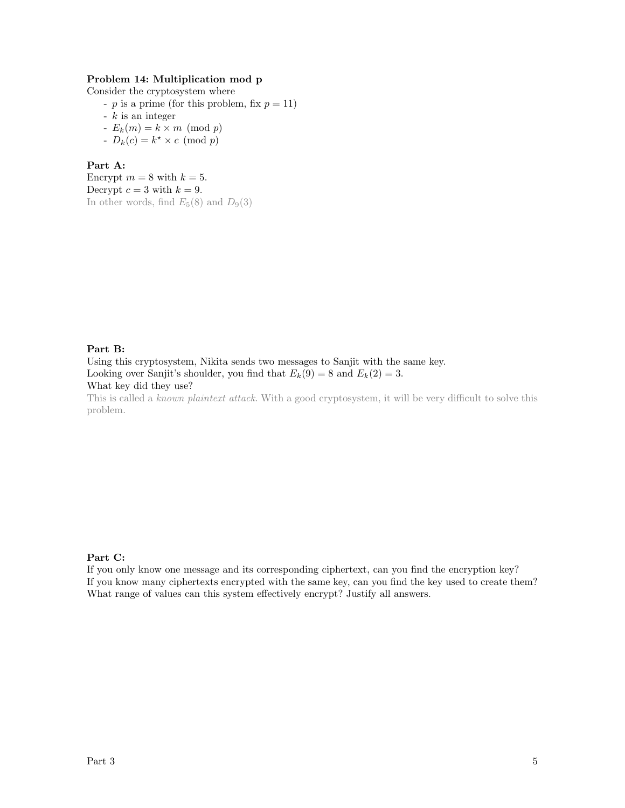## Problem 14: Multiplication mod p

Consider the cryptosystem where

- p is a prime (for this problem, fix  $p = 11$ )

- 
$$
k
$$
 is an integer

- $E_k(m) = k \times m \pmod{p}$
- $D_k(c) = k^* \times c \pmod{p}$

### Part A:

Encrypt  $m = 8$  with  $k = 5$ . Decrypt  $c = 3$  with  $k = 9$ . In other words, find  $E_5(8)$  and  $D_9(3)$ 

## Part B:

Using this cryptosystem, Nikita sends two messages to Sanjit with the same key. Looking over Sanjit's shoulder, you find that  $E_k(9) = 8$  and  $E_k(2) = 3$ . What key did they use?

This is called a known plaintext attack. With a good cryptosystem, it will be very difficult to solve this problem.

#### Part C:

If you only know one message and its corresponding ciphertext, can you find the encryption key? If you know many ciphertexts encrypted with the same key, can you find the key used to create them? What range of values can this system effectively encrypt? Justify all answers.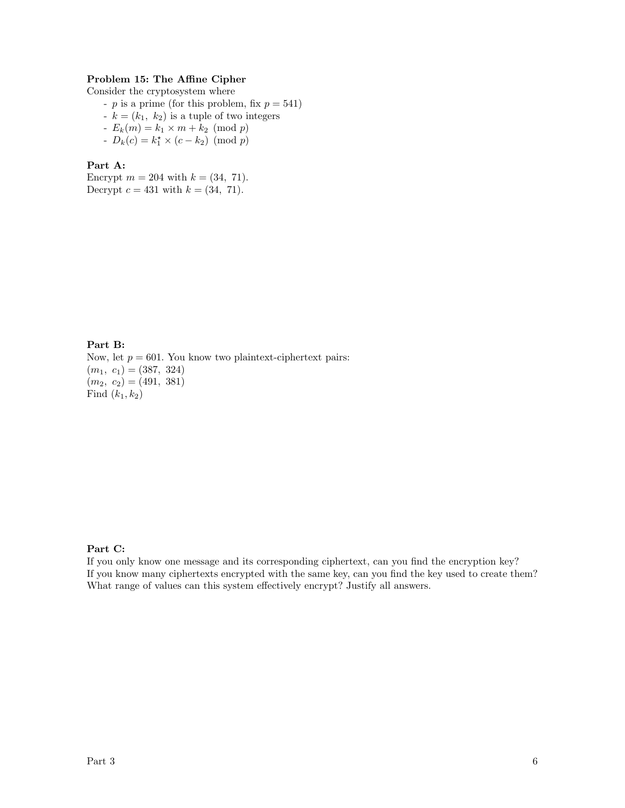## Problem 15: The Affine Cipher

Consider the cryptosystem where

- $p$  is a prime (for this problem, fix  $p = 541$ )
- $-k = (k_1, k_2)$  is a tuple of two integers
- $E_k(m) = k_1 \times m + k_2 \pmod{p}$
- $D_k(c) = k_1^* \times (c k_2) \pmod{p}$

### Part A:

Encrypt  $m = 204$  with  $k = (34, 71)$ . Decrypt  $c = 431$  with  $k = (34, 71)$ .

Part B: Now, let  $p = 601$ . You know two plaintext-ciphertext pairs:  $(m_1, c_1) = (387, 324)$  $(m_2, c_2) = (491, 381)$ Find  $(k_1, k_2)$ 

### Part C:

If you only know one message and its corresponding ciphertext, can you find the encryption key? If you know many ciphertexts encrypted with the same key, can you find the key used to create them? What range of values can this system effectively encrypt? Justify all answers.